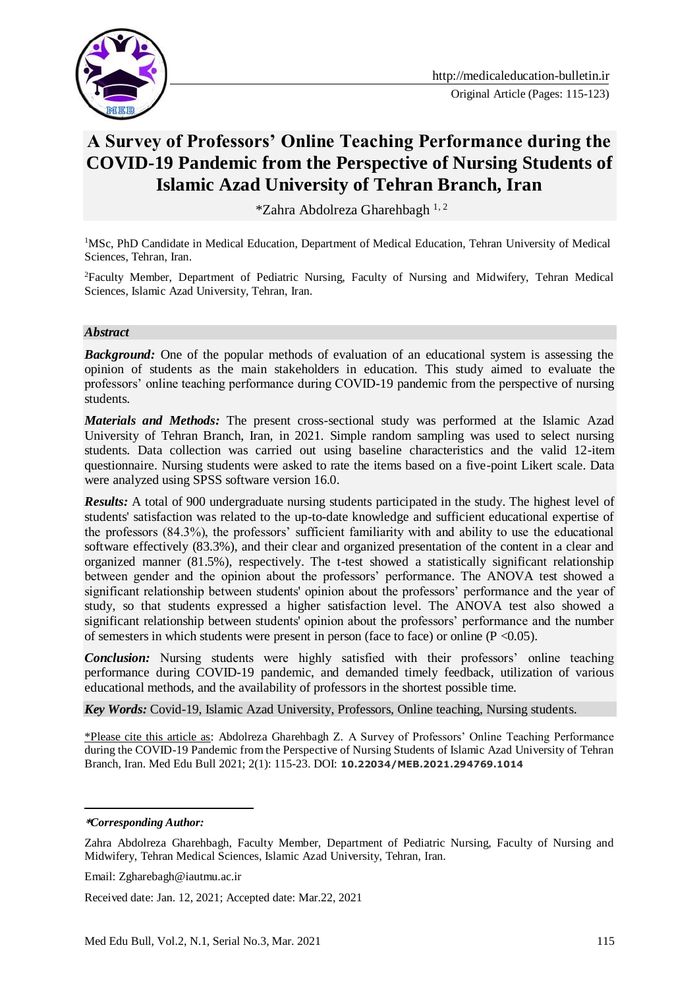

#### Original Article (Pages: 115-123)

# **A Survey of Professors' Online Teaching Performance during the COVID-19 Pandemic from the Perspective of Nursing Students of Islamic Azad University of Tehran Branch, Iran**

 $*Zahra$  Abdolreza Gharehbagh <sup>1, 2</sup>

<sup>1</sup>MSc, PhD Candidate in Medical Education, Department of Medical Education, Tehran University of Medical Sciences, Tehran, Iran.

<sup>2</sup>Faculty Member, Department of Pediatric Nursing, Faculty of Nursing and Midwifery, Tehran Medical Sciences, Islamic Azad University, Tehran, Iran.

#### *Abstract*

**Background:** One of the popular methods of evaluation of an educational system is assessing the opinion of students as the main stakeholders in education. This study aimed to evaluate the professors' online teaching performance during COVID-19 pandemic from the perspective of nursing students.

*Materials and Methods:* The present cross-sectional study was performed at the Islamic Azad University of Tehran Branch, Iran, in 2021. Simple random sampling was used to select nursing students. Data collection was carried out using baseline characteristics and the valid 12-item questionnaire. Nursing students were asked to rate the items based on a five-point Likert scale. Data were analyzed using SPSS software version 16.0.

*Results:* A total of 900 undergraduate nursing students participated in the study. The highest level of students' satisfaction was related to the up-to-date knowledge and sufficient educational expertise of the professors (84.3%), the professors' sufficient familiarity with and ability to use the educational software effectively (83.3%), and their clear and organized presentation of the content in a clear and organized manner (81.5%), respectively. The t-test showed a statistically significant relationship between gender and the opinion about the professors' performance. The ANOVA test showed a significant relationship between students' opinion about the professors' performance and the year of study, so that students expressed a higher satisfaction level. The ANOVA test also showed a significant relationship between students' opinion about the professors' performance and the number of semesters in which students were present in person (face to face) or online ( $P \le 0.05$ ).

*Conclusion:* Nursing students were highly satisfied with their professors' online teaching performance during COVID-19 pandemic, and demanded timely feedback, utilization of various educational methods, and the availability of professors in the shortest possible time.

*Key Words:* Covid-19, Islamic Azad University, Professors, Online teaching, Nursing students.

\*Please cite this article as: Abdolreza Gharehbagh Z. A Survey of Professors' Online Teaching Performance during the COVID-19 Pandemic from the Perspective of Nursing Students of Islamic Azad University of Tehran Branch, Iran. Med Edu Bull 2021; 2(1): 115-23. DOI: **10.22034/MEB.2021.294769.1014**

<u>.</u>

Received date: Jan. 12, 2021; Accepted date: Mar.22, 2021

**<sup>\*</sup>***Corresponding Author:*

Zahra Abdolreza Gharehbagh, Faculty Member, Department of Pediatric Nursing, Faculty of Nursing and Midwifery, Tehran Medical Sciences, Islamic Azad University, Tehran, Iran.

Email: Zgharebagh@iautmu.ac.ir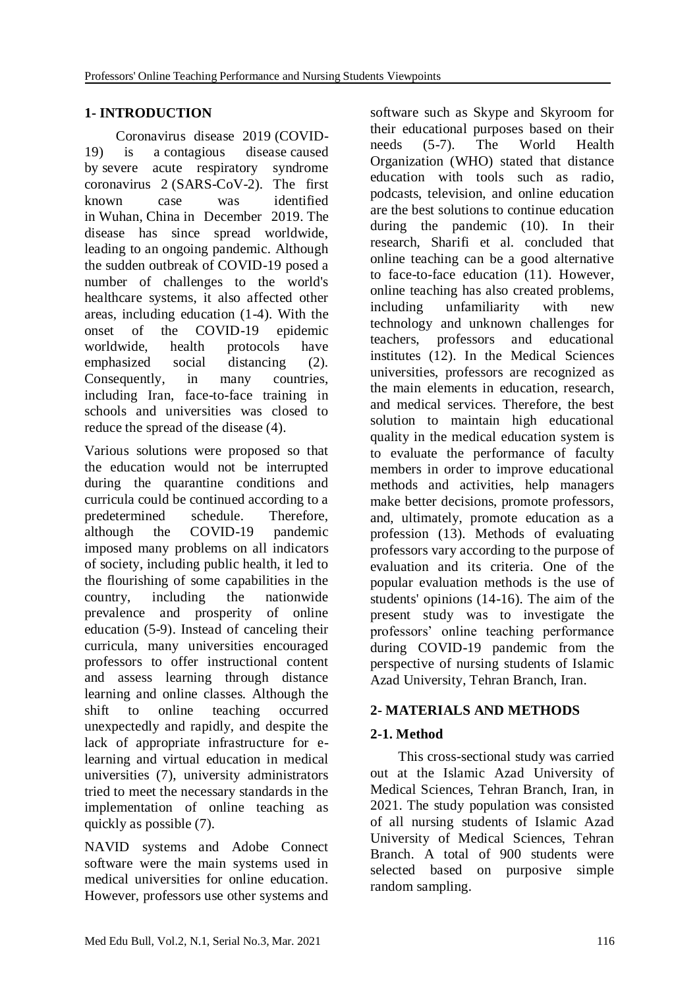# **1- INTRODUCTION**

 Coronavirus disease 2019 (COVID-19) is a contagious disease caused by severe acute respiratory syndrome coronavirus 2 (SARS-CoV-2). The first known case was identified in Wuhan, China in December 2019. The disease has since spread worldwide, leading to an ongoing pandemic. Although the sudden outbreak of COVID-19 posed a number of challenges to the world's healthcare systems, it also affected other areas, including education (1-4). With the onset of the COVID-19 epidemic worldwide, health protocols have emphasized social distancing (2). Consequently, in many countries, including Iran, face-to-face training in schools and universities was closed to reduce the spread of the disease (4).

Various solutions were proposed so that the education would not be interrupted during the quarantine conditions and curricula could be continued according to a predetermined schedule. Therefore, although the COVID-19 pandemic imposed many problems on all indicators of society, including public health, it led to the flourishing of some capabilities in the country, including the nationwide prevalence and prosperity of online education (5-9). Instead of canceling their curricula, many universities encouraged professors to offer instructional content and assess learning through distance learning and online classes. Although the shift to online teaching occurred unexpectedly and rapidly, and despite the lack of appropriate infrastructure for elearning and virtual education in medical universities (7), university administrators tried to meet the necessary standards in the implementation of online teaching as quickly as possible (7).

NAVID systems and Adobe Connect software were the main systems used in medical universities for online education. However, professors use other systems and

software such as Skype and Skyroom for their educational purposes based on their needs (5-7). The World Health Organization (WHO) stated that distance education with tools such as radio, podcasts, television, and online education are the best solutions to continue education during the pandemic (10). In their research, Sharifi et al. concluded that online teaching can be a good alternative to face-to-face education (11). However, online teaching has also created problems, including unfamiliarity with new technology and unknown challenges for teachers, professors and educational institutes (12). In the Medical Sciences universities, professors are recognized as the main elements in education, research, and medical services. Therefore, the best solution to maintain high educational quality in the medical education system is to evaluate the performance of faculty members in order to improve educational methods and activities, help managers make better decisions, promote professors, and, ultimately, promote education as a profession (13). Methods of evaluating professors vary according to the purpose of evaluation and its criteria. One of the popular evaluation methods is the use of students' opinions (14-16). The aim of the present study was to investigate the professors' online teaching performance during COVID-19 pandemic from the perspective of nursing students of Islamic Azad University, Tehran Branch, Iran.

## **2- MATERIALS AND METHODS**

# **2-1. Method**

 This cross-sectional study was carried out at the Islamic Azad University of Medical Sciences, Tehran Branch, Iran, in 2021. The study population was consisted of all nursing students of Islamic Azad University of Medical Sciences, Tehran Branch. A total of 900 students were selected based on purposive simple random sampling.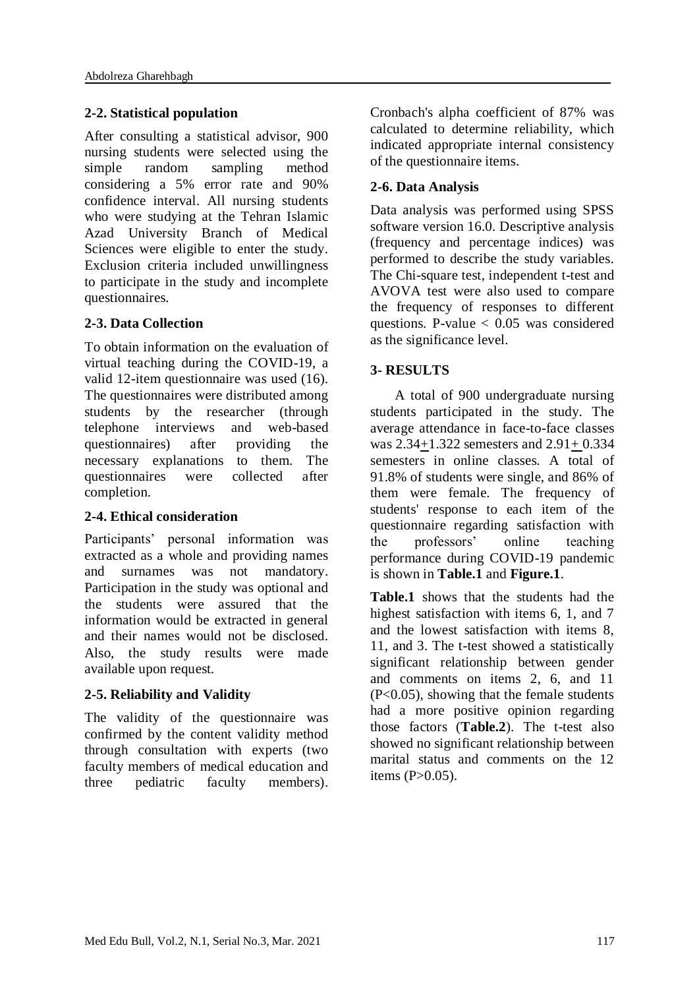#### **2-2. Statistical population**

After consulting a statistical advisor, 900 nursing students were selected using the simple random sampling method considering a 5% error rate and 90% confidence interval. All nursing students who were studying at the Tehran Islamic Azad University Branch of Medical Sciences were eligible to enter the study. Exclusion criteria included unwillingness to participate in the study and incomplete questionnaires.

#### **2-3. Data Collection**

To obtain information on the evaluation of virtual teaching during the COVID-19, a valid 12-item questionnaire was used (16). The questionnaires were distributed among students by the researcher (through telephone interviews and web-based questionnaires) after providing the necessary explanations to them. The questionnaires were collected after completion.

#### **2-4. Ethical consideration**

Participants' personal information was extracted as a whole and providing names and surnames was not mandatory. Participation in the study was optional and the students were assured that the information would be extracted in general and their names would not be disclosed. Also, the study results were made available upon request.

#### **2-5. Reliability and Validity**

The validity of the questionnaire was confirmed by the content validity method through consultation with experts (two faculty members of medical education and three pediatric faculty members).

Cronbach's alpha coefficient of 87% was calculated to determine reliability, which indicated appropriate internal consistency of the questionnaire items.

#### **2-6. Data Analysis**

Data analysis was performed using SPSS software version 16.0. Descriptive analysis (frequency and percentage indices) was performed to describe the study variables. The Chi-square test, independent t-test and AVOVA test were also used to compare the frequency of responses to different questions. P-value  $< 0.05$  was considered as the significance level.

#### **3- RESULTS**

 A total of 900 undergraduate nursing students participated in the study. The average attendance in face-to-face classes was 2.34+1.322 semesters and 2.91+ 0.334 semesters in online classes. A total of 91.8% of students were single, and 86% of them were female. The frequency of students' response to each item of the questionnaire regarding satisfaction with the professors' online teaching performance during COVID-19 pandemic is shown in **Table.1** and **Figure.1**.

**Table.1** shows that the students had the highest satisfaction with items 6, 1, and 7 and the lowest satisfaction with items 8, 11, and 3. The t-test showed a statistically significant relationship between gender and comments on items 2, 6, and 11 (P<0.05), showing that the female students had a more positive opinion regarding those factors (**Table.2**). The t-test also showed no significant relationship between marital status and comments on the 12 items  $(P>0.05)$ .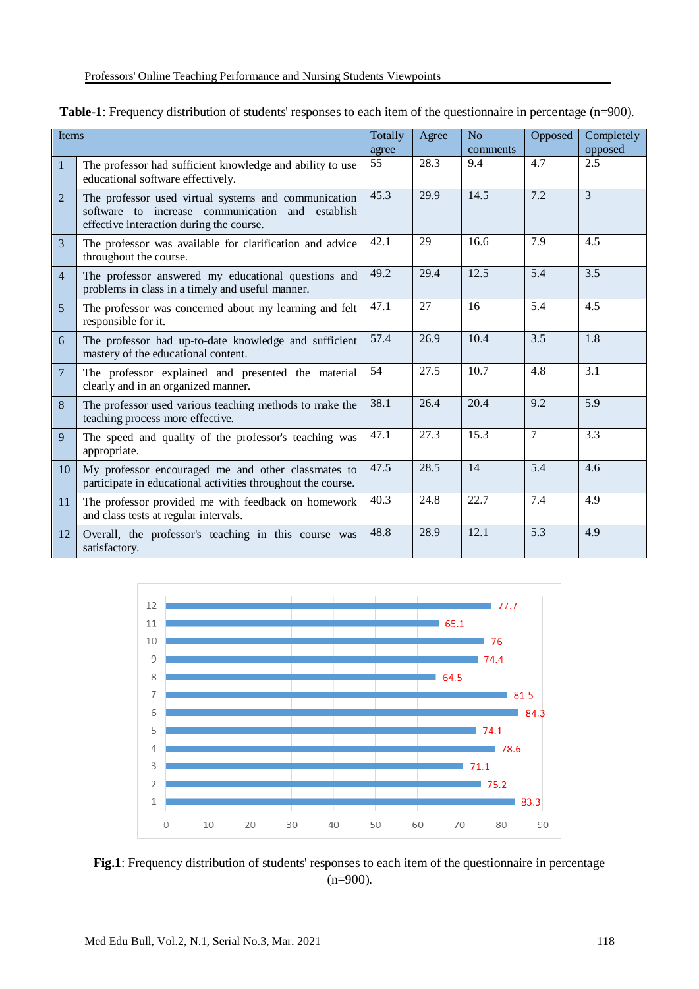| Items          |                                                                                                                                                      |       | Agree | No       | Opposed        | Completely     |
|----------------|------------------------------------------------------------------------------------------------------------------------------------------------------|-------|-------|----------|----------------|----------------|
|                |                                                                                                                                                      | agree |       | comments |                | opposed        |
| $\mathbf{1}$   | The professor had sufficient knowledge and ability to use<br>educational software effectively.                                                       | 55    | 28.3  | 9.4      | 4.7            | 2.5            |
| 2              | The professor used virtual systems and communication<br>software to increase communication and establish<br>effective interaction during the course. | 45.3  | 29.9  | 14.5     | 7.2            | $\overline{3}$ |
| $\mathfrak{Z}$ | The professor was available for clarification and advice<br>throughout the course.                                                                   | 42.1  | 29    | 16.6     | 7.9            | 4.5            |
| $\overline{4}$ | The professor answered my educational questions and<br>problems in class in a timely and useful manner.                                              | 49.2  | 29.4  | 12.5     | 5.4            | 3.5            |
| 5              | The professor was concerned about my learning and felt<br>responsible for it.                                                                        | 47.1  | 27    | 16       | 5.4            | 4.5            |
| 6              | The professor had up-to-date knowledge and sufficient<br>mastery of the educational content.                                                         | 57.4  | 26.9  | 10.4     | 3.5            | 1.8            |
| $\overline{7}$ | The professor explained and presented the material<br>clearly and in an organized manner.                                                            | 54    | 27.5  | 10.7     | 4.8            | 3.1            |
| 8              | The professor used various teaching methods to make the<br>teaching process more effective.                                                          | 38.1  | 26.4  | 20.4     | 9.2            | 5.9            |
| 9              | The speed and quality of the professor's teaching was<br>appropriate.                                                                                | 47.1  | 27.3  | 15.3     | $\overline{7}$ | 3.3            |
| 10             | My professor encouraged me and other classmates to<br>participate in educational activities throughout the course.                                   | 47.5  | 28.5  | 14       | 5.4            | 4.6            |
| 11             | The professor provided me with feedback on homework<br>and class tests at regular intervals.                                                         | 40.3  | 24.8  | 22.7     | 7.4            | 4.9            |
| 12             | Overall, the professor's teaching in this course was<br>satisfactory.                                                                                | 48.8  | 28.9  | 12.1     | 5.3            | 4.9            |

| Table-1: Frequency distribution of students' responses to each item of the questionnaire in percentage (n=900). |  |  |
|-----------------------------------------------------------------------------------------------------------------|--|--|
|                                                                                                                 |  |  |



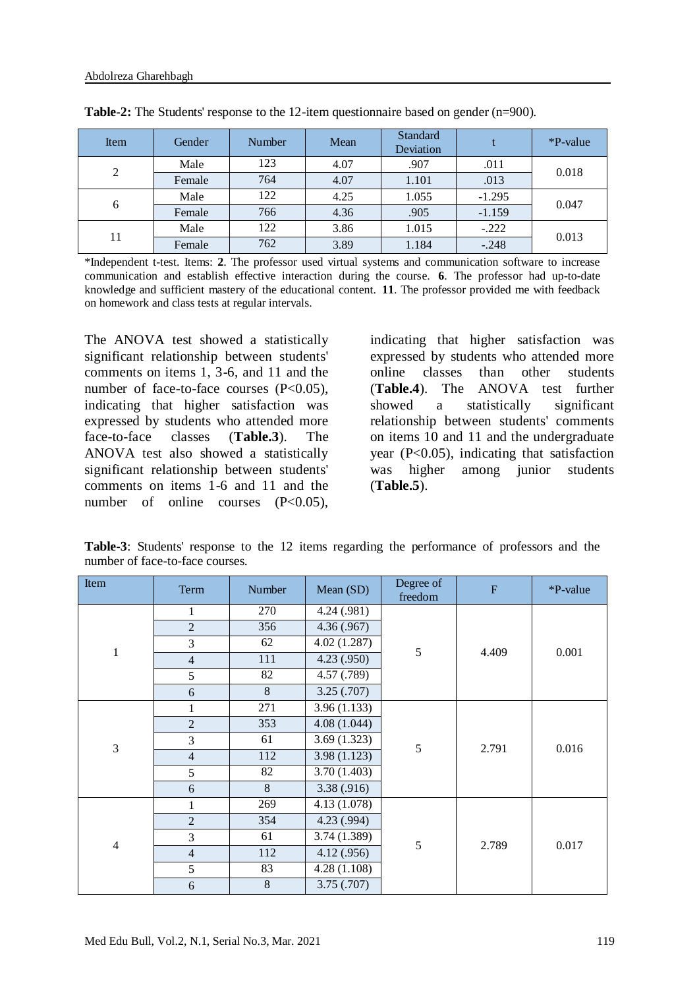| Item           | Gender | Number | Mean | <b>Standard</b><br>Deviation |          | *P-value |
|----------------|--------|--------|------|------------------------------|----------|----------|
|                | Male   | 123    | 4.07 | .907                         | .011     |          |
| $\overline{2}$ | Female | 764    | 4.07 | 1.101                        | .013     | 0.018    |
|                | Male   | 122    | 4.25 | 1.055                        | $-1.295$ | 0.047    |
| 6              | Female | 766    | 4.36 | .905                         | $-1.159$ |          |
| 11             | Male   | 122    | 3.86 | 1.015                        | $-.222$  | 0.013    |
|                | Female | 762    | 3.89 | 1.184                        | $-.248$  |          |

**Table-2:** The Students' response to the 12-item questionnaire based on gender (n=900).

\*Independent t-test. Items: **2**. The professor used virtual systems and communication software to increase communication and establish effective interaction during the course. **6**. The professor had up-to-date knowledge and sufficient mastery of the educational content. **11**. The professor provided me with feedback on homework and class tests at regular intervals.

The ANOVA test showed a statistically significant relationship between students' comments on items 1, 3-6, and 11 and the number of face-to-face courses  $(P<0.05)$ , indicating that higher satisfaction was expressed by students who attended more face-to-face classes (**Table.3**). The ANOVA test also showed a statistically significant relationship between students' comments on items 1-6 and 11 and the number of online courses  $(P<0.05)$ ,

indicating that higher satisfaction was expressed by students who attended more online classes than other students (**Table.4**). The ANOVA test further showed a statistically significant relationship between students' comments on items 10 and 11 and the undergraduate year (P<0.05), indicating that satisfaction was higher among junior students (**Table.5**).

**Table-3**: Students' response to the 12 items regarding the performance of professors and the number of face-to-face courses.

| Item           | Term           | Number | Mean (SD)   | Degree of<br>freedom | ${\bf F}$ | *P-value |
|----------------|----------------|--------|-------------|----------------------|-----------|----------|
|                | 1              | 270    | 4.24(.981)  |                      |           | 0.001    |
|                | $\overline{2}$ | 356    | 4.36(.967)  |                      |           |          |
|                | 3              | 62     | 4.02(1.287) |                      |           |          |
| $\mathbf{1}$   | $\overline{4}$ | 111    | 4.23(0.950) | 5                    | 4.409     |          |
|                | 5              | 82     | 4.57 (.789) |                      |           |          |
|                | 6              | 8      | 3.25(.707)  |                      |           |          |
|                |                | 271    | 3.96(1.133) | 5                    | 2.791     | 0.016    |
|                | $\overline{2}$ | 353    | 4.08(1.044) |                      |           |          |
| 3              | 3              | 61     | 3.69(1.323) |                      |           |          |
|                | $\overline{4}$ | 112    | 3.98(1.123) |                      |           |          |
|                | 5              | 82     | 3.70(1.403) |                      |           |          |
|                | 6              | 8      | 3.38(.916)  |                      |           |          |
|                | 1              | 269    | 4.13(1.078) | 5                    | 2.789     | 0.017    |
|                | $\overline{2}$ | 354    | 4.23 (.994) |                      |           |          |
| $\overline{4}$ | 3              | 61     | 3.74(1.389) |                      |           |          |
|                | $\overline{4}$ | 112    | 4.12(.956)  |                      |           |          |
|                | 5              | 83     | 4.28(1.108) |                      |           |          |
|                | 6              | 8      | 3.75(.707)  |                      |           |          |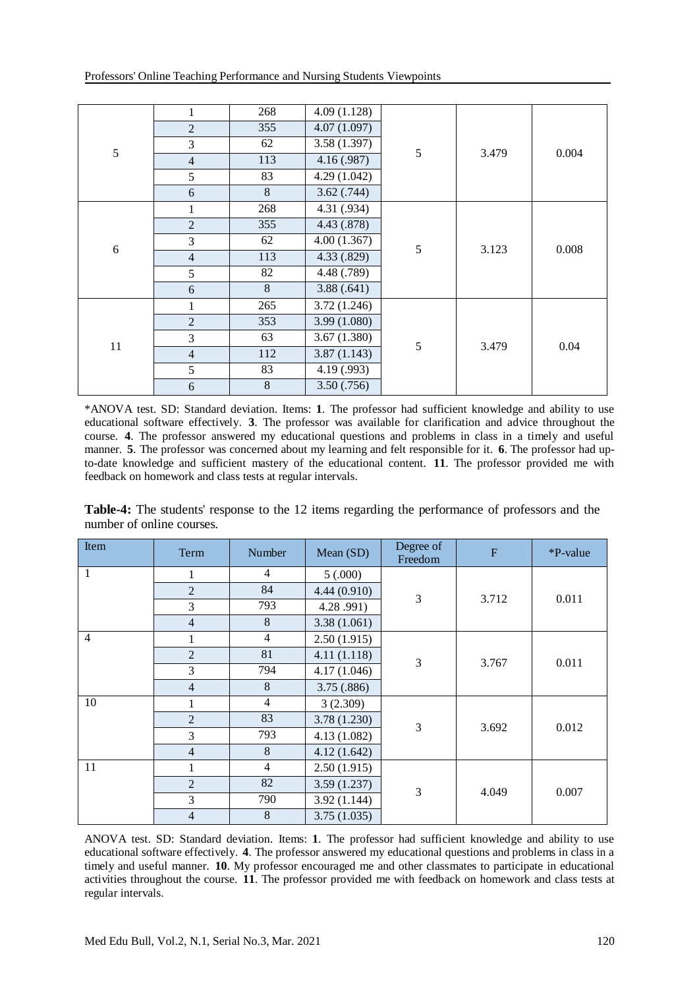| Professors' Online Teaching Performance and Nursing Students Viewpoints |  |
|-------------------------------------------------------------------------|--|
|-------------------------------------------------------------------------|--|

|    | 1              | 268   | 4.09(1.128) | 5 | 3.479 | 0.004 |
|----|----------------|-------|-------------|---|-------|-------|
|    | $\overline{2}$ | 355   | 4.07(1.097) |   |       |       |
| 5  | 3              | 62    | 3.58(1.397) |   |       |       |
|    | $\overline{4}$ | 113   | 4.16(0.987) |   |       |       |
|    | 5              | 83    | 4.29(1.042) |   |       |       |
|    | 6              | 8     | 3.62(.744)  |   |       |       |
|    | 1              | 268   | 4.31 (.934) | 5 | 3.123 | 0.008 |
|    | $\overline{2}$ | 355   | 4.43 (.878) |   |       |       |
| 6  | 3              | 62    | 4.00(1.367) |   |       |       |
|    | $\overline{4}$ | 113   | 4.33 (.829) |   |       |       |
|    | 5              | 82    | 4.48 (.789) |   |       |       |
|    | $6\,$          | 8     | 3.88(.641)  |   |       |       |
|    | 1              | 265   | 3.72(1.246) |   | 3.479 | 0.04  |
|    | $\overline{2}$ | 353   | 3.99(1.080) |   |       |       |
| 11 | 3              | 63    | 3.67(1.380) | 5 |       |       |
|    | $\overline{4}$ | 112   | 3.87(1.143) |   |       |       |
|    | 5              | 83    | 4.19 (.993) |   |       |       |
|    | 6              | $8\,$ | 3.50(.756)  |   |       |       |

\*ANOVA test. SD: Standard deviation. Items: **1**. The professor had sufficient knowledge and ability to use educational software effectively. **3**. The professor was available for clarification and advice throughout the course. **4**. The professor answered my educational questions and problems in class in a timely and useful manner. **5**. The professor was concerned about my learning and felt responsible for it. **6**. The professor had upto-date knowledge and sufficient mastery of the educational content. **11**. The professor provided me with feedback on homework and class tests at regular intervals.

**Table-4:** The students' response to the 12 items regarding the performance of professors and the number of online courses.

| Item           | Term           | Number                        | Mean (SD)   | Degree of<br>Freedom | $\overline{F}$ | *P-value |
|----------------|----------------|-------------------------------|-------------|----------------------|----------------|----------|
| 1              | 1              | $\overline{4}$                | 5(.000)     | 3                    | 3.712          | 0.011    |
|                | $\overline{2}$ | 84                            | 4.44(0.910) |                      |                |          |
|                | 3              | 793                           | 4.28.991)   |                      |                |          |
|                | $\overline{4}$ | 8                             | 3.38(1.061) |                      |                |          |
| $\overline{4}$ | 1              | $\overline{4}$                | 2.50(1.915) |                      |                | 0.011    |
|                | $\overline{2}$ | 81                            | 4.11(1.118) | 3                    | 3.767          |          |
|                | 3              | 794                           | 4.17(1.046) |                      |                |          |
|                | $\overline{4}$ | 8                             | 3.75(.886)  |                      |                |          |
| 10             |                | $\overline{4}$                | 3(2.309)    |                      | 3.692          | 0.012    |
|                | $\overline{2}$ | 83                            | 3.78(1.230) | 3                    |                |          |
|                | 3              | 793                           | 4.13(1.082) |                      |                |          |
|                | $\overline{4}$ | 8                             | 4.12(1.642) |                      |                |          |
| 11             | 1              | $\overline{4}$<br>2.50(1.915) |             |                      |                |          |
|                | $\overline{2}$ | 82                            | 3.59(1.237) | 3                    | 4.049          |          |
|                | 3              | 790                           | 3.92(1.144) |                      |                | 0.007    |
|                | $\overline{4}$ | 8                             | 3.75(1.035) |                      |                |          |

ANOVA test. SD: Standard deviation. Items: **1**. The professor had sufficient knowledge and ability to use educational software effectively. **4**. The professor answered my educational questions and problems in class in a timely and useful manner. **10**. My professor encouraged me and other classmates to participate in educational activities throughout the course. **11**. The professor provided me with feedback on homework and class tests at regular intervals.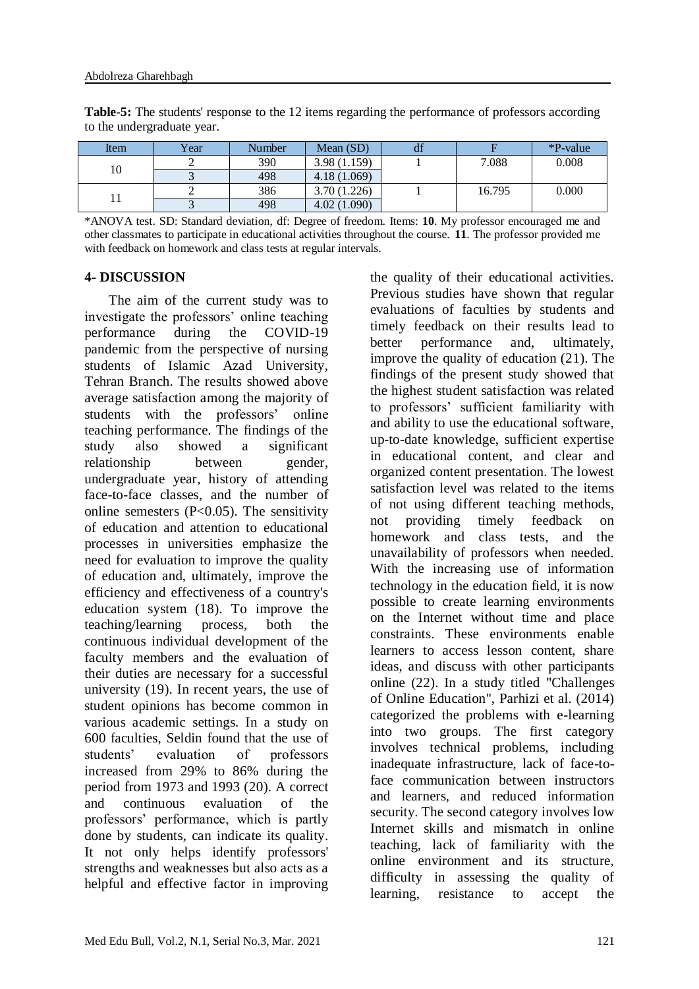| Item | Year | Number | Mean $(SD)$ | df |        | $\ast$ P-value |
|------|------|--------|-------------|----|--------|----------------|
| 10   |      | 390    | 3.98(1.159) |    | 7.088  | 0.008          |
|      |      | 498    | 4.18(1.069) |    |        |                |
|      |      | 386    | 3.70(1.226) |    | 16.795 | 0.000          |
|      |      | 498    | 4.02(1.090) |    |        |                |

**Table-5:** The students' response to the 12 items regarding the performance of professors according to the undergraduate year.

\*ANOVA test. SD: Standard deviation, df: Degree of freedom. Items: **10**. My professor encouraged me and other classmates to participate in educational activities throughout the course. **11**. The professor provided me with feedback on homework and class tests at regular intervals.

#### **4- DISCUSSION**

 The aim of the current study was to investigate the professors' online teaching performance during the COVID-19 pandemic from the perspective of nursing students of Islamic Azad University, Tehran Branch. The results showed above average satisfaction among the majority of students with the professors' online teaching performance. The findings of the study also showed a significant relationship between gender, undergraduate year, history of attending face-to-face classes, and the number of online semesters  $(P<0.05)$ . The sensitivity of education and attention to educational processes in universities emphasize the need for evaluation to improve the quality of education and, ultimately, improve the efficiency and effectiveness of a country's education system (18). To improve the teaching/learning process, both the continuous individual development of the faculty members and the evaluation of their duties are necessary for a successful university (19). In recent years, the use of student opinions has become common in various academic settings. In a study on 600 faculties, Seldin found that the use of students' evaluation of professors increased from 29% to 86% during the period from 1973 and 1993 (20). A correct and continuous evaluation of the professors' performance, which is partly done by students, can indicate its quality. It not only helps identify professors' strengths and weaknesses but also acts as a helpful and effective factor in improving the quality of their educational activities. Previous studies have shown that regular evaluations of faculties by students and timely feedback on their results lead to better performance and, ultimately, improve the quality of education (21). The findings of the present study showed that the highest student satisfaction was related to professors' sufficient familiarity with and ability to use the educational software, up-to-date knowledge, sufficient expertise in educational content, and clear and organized content presentation. The lowest satisfaction level was related to the items of not using different teaching methods, not providing timely feedback on homework and class tests, and the unavailability of professors when needed. With the increasing use of information technology in the education field, it is now possible to create learning environments on the Internet without time and place constraints. These environments enable learners to access lesson content, share ideas, and discuss with other participants online (22). In a study titled "Challenges of Online Education", Parhizi et al. (2014) categorized the problems with e-learning into two groups. The first category involves technical problems, including inadequate infrastructure, lack of face-toface communication between instructors and learners, and reduced information security. The second category involves low Internet skills and mismatch in online teaching, lack of familiarity with the online environment and its structure, difficulty in assessing the quality of learning, resistance to accept the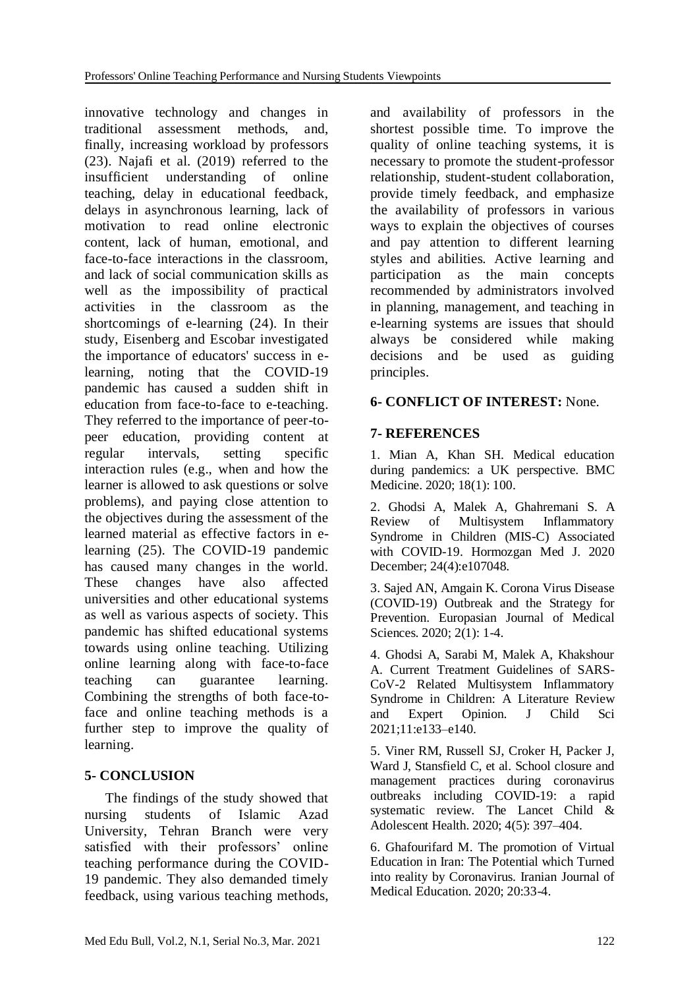innovative technology and changes in traditional assessment methods, and, finally, increasing workload by professors (23). Najafi et al. (2019) referred to the insufficient understanding of online teaching, delay in educational feedback, delays in asynchronous learning, lack of motivation to read online electronic content, lack of human, emotional, and face-to-face interactions in the classroom, and lack of social communication skills as well as the impossibility of practical activities in the classroom as the shortcomings of e-learning (24). In their study, Eisenberg and Escobar investigated the importance of educators' success in elearning, noting that the COVID-19 pandemic has caused a sudden shift in education from face-to-face to e-teaching. They referred to the importance of peer-topeer education, providing content at regular intervals, setting specific interaction rules (e.g., when and how the learner is allowed to ask questions or solve problems), and paying close attention to the objectives during the assessment of the learned material as effective factors in elearning (25). The COVID-19 pandemic has caused many changes in the world. These changes have also affected universities and other educational systems as well as various aspects of society. This pandemic has shifted educational systems towards using online teaching. Utilizing online learning along with face-to-face teaching can guarantee learning. Combining the strengths of both face-toface and online teaching methods is a further step to improve the quality of learning.

## **5- CONCLUSION**

 The findings of the study showed that nursing students of Islamic Azad University, Tehran Branch were very satisfied with their professors' online teaching performance during the COVID-19 pandemic. They also demanded timely feedback, using various teaching methods,

and availability of professors in the shortest possible time. To improve the quality of online teaching systems, it is necessary to promote the student-professor relationship, student-student collaboration, provide timely feedback, and emphasize the availability of professors in various ways to explain the objectives of courses and pay attention to different learning styles and abilities. Active learning and participation as the main concepts recommended by administrators involved in planning, management, and teaching in e-learning systems are issues that should always be considered while making decisions and be used as guiding principles.

### **6- CONFLICT OF INTEREST:** None.

### **7- REFERENCES**

1. Mian A, Khan SH. Medical education during pandemics: a UK perspective. BMC Medicine. 2020; 18(1): 100.

2. Ghodsi A, Malek A, Ghahremani S. A Review of Multisystem Inflammatory Syndrome in Children (MIS-C) Associated with COVID-19. Hormozgan Med J. 2020 December; 24(4):e107048.

3. Sajed AN, Amgain K. Corona Virus Disease (COVID-19) Outbreak and the Strategy for Prevention. Europasian Journal of Medical Sciences. 2020; 2(1): 1-4.

4. Ghodsi A, Sarabi M, Malek A, Khakshour A. Current Treatment Guidelines of SARS-CoV-2 Related Multisystem Inflammatory Syndrome in Children: A Literature Review and Expert Opinion. J Child Sci 2021;11:e133–e140.

5. Viner RM, Russell SJ, Croker H, Packer J, Ward J, Stansfield C, et al. School closure and management practices during coronavirus outbreaks including COVID-19: a rapid systematic review. The Lancet Child & Adolescent Health. 2020; 4(5): 397–404.

6. Ghafourifard M. The promotion of Virtual Education in Iran: The Potential which Turned into reality by Coronavirus. Iranian Journal of Medical Education. 2020; 20:33-4.